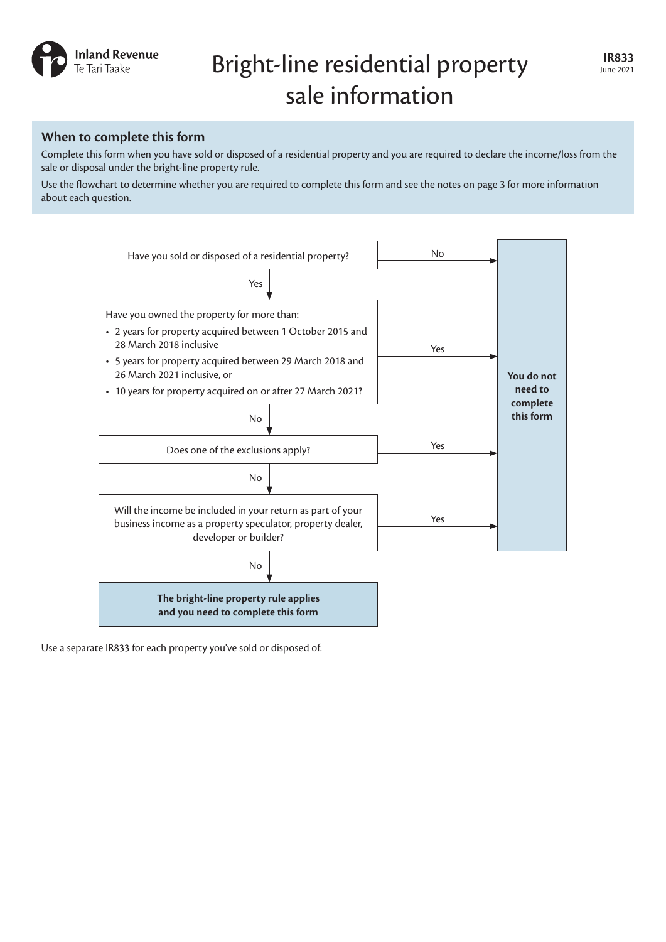

# **IR833** Bright-line residential property IR833 sale information

# **When to complete this form**

Complete this form when you have sold or disposed of a residential property and you are required to declare the income/loss from the sale or disposal under the bright-line property rule.

Use the flowchart to determine whether you are required to complete this form and see the notes on page 3 for more information about each question.



Use a separate IR833 for each property you've sold or disposed of.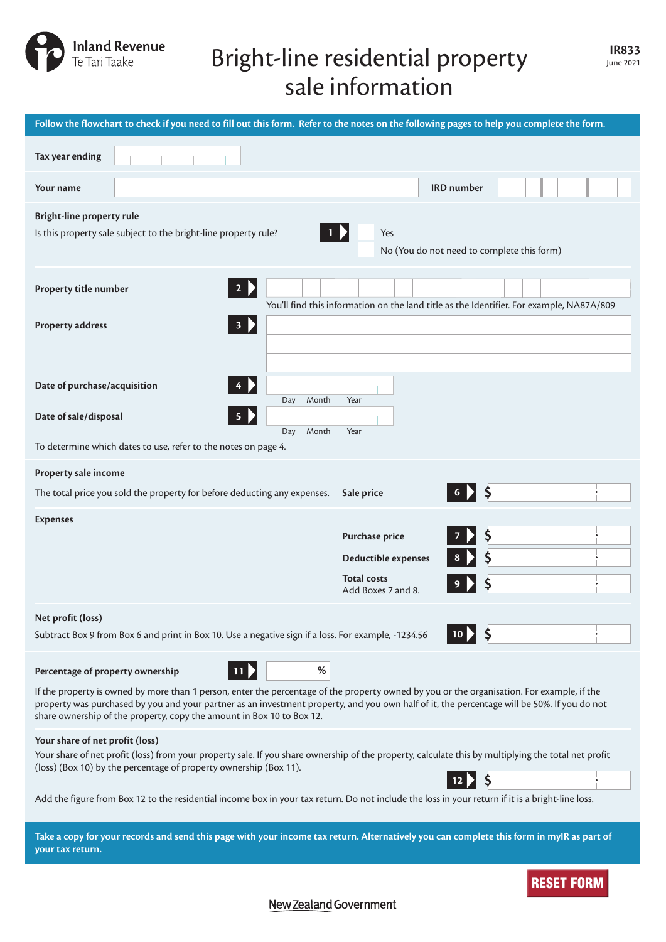

# **IR833** Bright-line residential property IR833 sale information

| Follow the flowchart to check if you need to fill out this form. Refer to the notes on the following pages to help you complete the form.                                                                                                                                                                                                                                                                       |                                                                                          |  |  |
|-----------------------------------------------------------------------------------------------------------------------------------------------------------------------------------------------------------------------------------------------------------------------------------------------------------------------------------------------------------------------------------------------------------------|------------------------------------------------------------------------------------------|--|--|
| Tax year ending                                                                                                                                                                                                                                                                                                                                                                                                 |                                                                                          |  |  |
| Your name                                                                                                                                                                                                                                                                                                                                                                                                       | <b>IRD</b> number                                                                        |  |  |
| <b>Bright-line property rule</b><br>Is this property sale subject to the bright-line property rule?<br>Yes<br>No (You do not need to complete this form)                                                                                                                                                                                                                                                        |                                                                                          |  |  |
| Property title number<br>$\mathbf{2}$                                                                                                                                                                                                                                                                                                                                                                           | You'll find this information on the land title as the Identifier. For example, NA87A/809 |  |  |
| 3 <b>P</b><br><b>Property address</b>                                                                                                                                                                                                                                                                                                                                                                           |                                                                                          |  |  |
| Date of purchase/acquisition<br>Month<br>Day                                                                                                                                                                                                                                                                                                                                                                    | Year                                                                                     |  |  |
| Date of sale/disposal<br>Month<br>Day<br>To determine which dates to use, refer to the notes on page 4.                                                                                                                                                                                                                                                                                                         | Year                                                                                     |  |  |
| Property sale income                                                                                                                                                                                                                                                                                                                                                                                            |                                                                                          |  |  |
| The total price you sold the property for before deducting any expenses.                                                                                                                                                                                                                                                                                                                                        | $6$ > $\frac{1}{2}$<br>Sale price                                                        |  |  |
| <b>Expenses</b>                                                                                                                                                                                                                                                                                                                                                                                                 | Purchase price<br>Deductible expenses<br><b>Total costs</b><br>Add Boxes 7 and 8.        |  |  |
| Net profit (loss)<br>Subtract Box 9 from Box 6 and print in Box 10. Use a negative sign if a loss. For example, -1234.56                                                                                                                                                                                                                                                                                        |                                                                                          |  |  |
| %<br>Percentage of property ownership<br>$11 \triangleright$                                                                                                                                                                                                                                                                                                                                                    |                                                                                          |  |  |
| If the property is owned by more than 1 person, enter the percentage of the property owned by you or the organisation. For example, if the<br>property was purchased by you and your partner as an investment property, and you own half of it, the percentage will be 50%. If you do not<br>share ownership of the property, copy the amount in Box 10 to Box 12.                                              |                                                                                          |  |  |
| Your share of net profit (loss)<br>Your share of net profit (loss) from your property sale. If you share ownership of the property, calculate this by multiplying the total net profit<br>(loss) (Box 10) by the percentage of property ownership (Box 11).<br>Add the figure from Box 12 to the residential income box in your tax return. Do not include the loss in your return if it is a bright-line loss. |                                                                                          |  |  |
|                                                                                                                                                                                                                                                                                                                                                                                                                 |                                                                                          |  |  |
| Take a copy for your records and send this page with your income tax return. Alternatively you can complete this form in myIR as part of<br>your tax return.                                                                                                                                                                                                                                                    |                                                                                          |  |  |
|                                                                                                                                                                                                                                                                                                                                                                                                                 | <b>RESET FORM</b>                                                                        |  |  |

New Zealand Government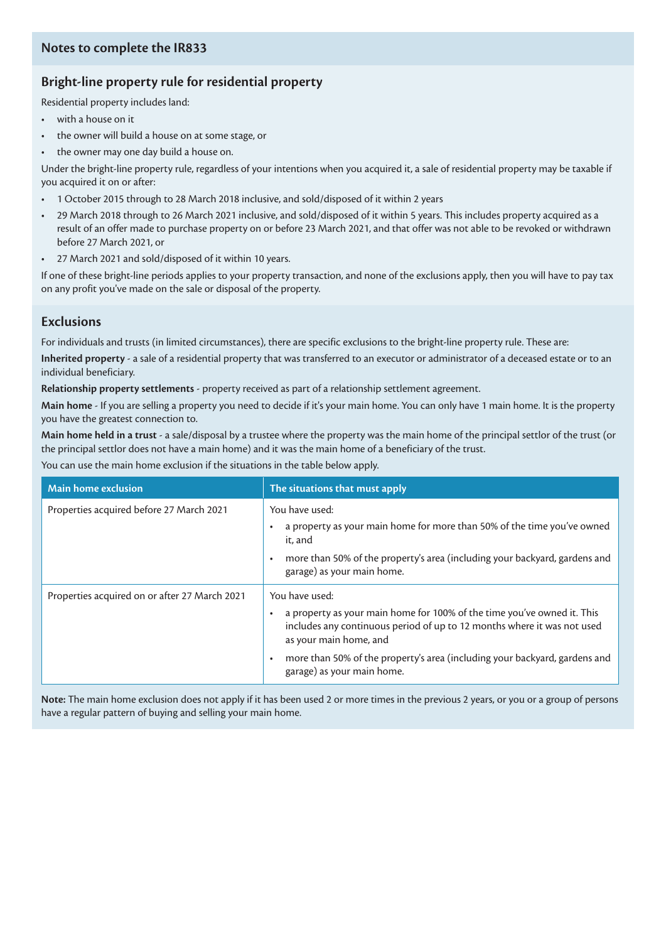# **Bright-line property rule for residential property**

Residential property includes land:

- with a house on it
- the owner will build a house on at some stage, or
- the owner may one day build a house on.

Under the bright-line property rule, regardless of your intentions when you acquired it, a sale of residential property may be taxable if you acquired it on or after:

- 1 October 2015 through to 28 March 2018 inclusive, and sold/disposed of it within 2 years
- 29 March 2018 through to 26 March 2021 inclusive, and sold/disposed of it within 5 years. This includes property acquired as a result of an offer made to purchase property on or before 23 March 2021, and that offer was not able to be revoked or withdrawn before 27 March 2021, or
- 27 March 2021 and sold/disposed of it within 10 years.

If one of these bright-line periods applies to your property transaction, and none of the exclusions apply, then you will have to pay tax on any profit you've made on the sale or disposal of the property.

# **Exclusions**

For individuals and trusts (in limited circumstances), there are specific exclusions to the bright-line property rule. These are:

**Inherited property** - a sale of a residential property that was transferred to an executor or administrator of a deceased estate or to an individual beneficiary.

**Relationship property settlements** - property received as part of a relationship settlement agreement.

**Main home** - If you are selling a property you need to decide if it's your main home. You can only have 1 main home. It is the property you have the greatest connection to.

**Main home held in a trust** - a sale/disposal by a trustee where the property was the main home of the principal settlor of the trust (or the principal settlor does not have a main home) and it was the main home of a beneficiary of the trust.

You can use the main home exclusion if the situations in the table below apply.

| Main home exclusion                           | The situations that must apply                                                                                                                                               |  |
|-----------------------------------------------|------------------------------------------------------------------------------------------------------------------------------------------------------------------------------|--|
| Properties acquired before 27 March 2021      | You have used:                                                                                                                                                               |  |
|                                               | a property as your main home for more than 50% of the time you've owned<br>it, and                                                                                           |  |
|                                               | more than 50% of the property's area (including your backyard, gardens and<br>garage) as your main home.                                                                     |  |
| Properties acquired on or after 27 March 2021 | You have used:                                                                                                                                                               |  |
|                                               | a property as your main home for 100% of the time you've owned it. This<br>includes any continuous period of up to 12 months where it was not used<br>as your main home, and |  |
|                                               | more than 50% of the property's area (including your backyard, gardens and<br>garage) as your main home.                                                                     |  |

**Note:** The main home exclusion does not apply if it has been used 2 or more times in the previous 2 years, or you or a group of persons have a regular pattern of buying and selling your main home.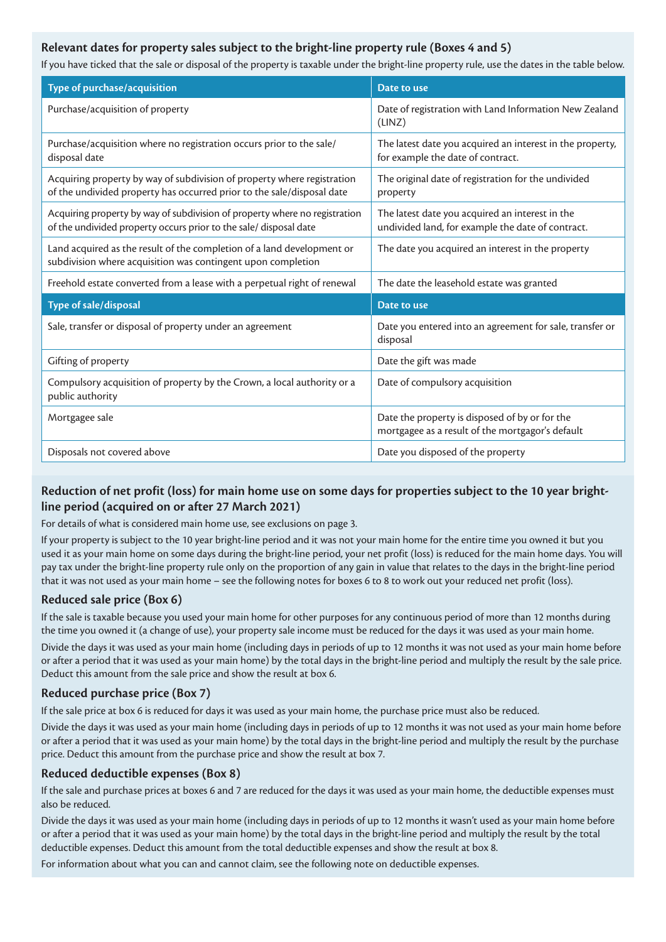### **Relevant dates for property sales subject to the bright-line property rule (Boxes 4 and 5)**

If you have ticked that the sale or disposal of the property is taxable under the bright-line property rule, use the dates in the table below.

| Type of purchase/acquisition                                                                                                                      | Date to use                                                                                          |
|---------------------------------------------------------------------------------------------------------------------------------------------------|------------------------------------------------------------------------------------------------------|
| Purchase/acquisition of property                                                                                                                  | Date of registration with Land Information New Zealand<br>(LINZ)                                     |
| Purchase/acquisition where no registration occurs prior to the sale/<br>disposal date                                                             | The latest date you acquired an interest in the property,<br>for example the date of contract.       |
| Acquiring property by way of subdivision of property where registration<br>of the undivided property has occurred prior to the sale/disposal date | The original date of registration for the undivided<br>property                                      |
| Acquiring property by way of subdivision of property where no registration<br>of the undivided property occurs prior to the sale/ disposal date   | The latest date you acquired an interest in the<br>undivided land, for example the date of contract. |
| Land acquired as the result of the completion of a land development or<br>subdivision where acquisition was contingent upon completion            | The date you acquired an interest in the property                                                    |
| Freehold estate converted from a lease with a perpetual right of renewal                                                                          | The date the leasehold estate was granted                                                            |
| Type of sale/disposal                                                                                                                             | Date to use                                                                                          |
| Sale, transfer or disposal of property under an agreement                                                                                         | Date you entered into an agreement for sale, transfer or<br>disposal                                 |
| Gifting of property                                                                                                                               | Date the gift was made                                                                               |
| Compulsory acquisition of property by the Crown, a local authority or a<br>public authority                                                       | Date of compulsory acquisition                                                                       |
| Mortgagee sale                                                                                                                                    | Date the property is disposed of by or for the<br>mortgagee as a result of the mortgagor's default   |
| Disposals not covered above                                                                                                                       | Date you disposed of the property                                                                    |

## **Reduction of net profit (loss) for main home use on some days for properties subject to the 10 year brightline period (acquired on or after 27 March 2021)**

For details of what is considered main home use, see exclusions on page 3.

If your property is subject to the 10 year bright-line period and it was not your main home for the entire time you owned it but you used it as your main home on some days during the bright-line period, your net profit (loss) is reduced for the main home days. You will pay tax under the bright-line property rule only on the proportion of any gain in value that relates to the days in the bright-line period that it was not used as your main home – see the following notes for boxes 6 to 8 to work out your reduced net profit (loss).

#### **Reduced sale price (Box 6)**

If the sale is taxable because you used your main home for other purposes for any continuous period of more than 12 months during the time you owned it (a change of use), your property sale income must be reduced for the days it was used as your main home.

Divide the days it was used as your main home (including days in periods of up to 12 months it was not used as your main home before or after a period that it was used as your main home) by the total days in the bright-line period and multiply the result by the sale price. Deduct this amount from the sale price and show the result at box 6.

## **Reduced purchase price (Box 7)**

If the sale price at box 6 is reduced for days it was used as your main home, the purchase price must also be reduced.

Divide the days it was used as your main home (including days in periods of up to 12 months it was not used as your main home before or after a period that it was used as your main home) by the total days in the bright-line period and multiply the result by the purchase price. Deduct this amount from the purchase price and show the result at box 7.

#### **Reduced deductible expenses (Box 8)**

If the sale and purchase prices at boxes 6 and 7 are reduced for the days it was used as your main home, the deductible expenses must also be reduced.

Divide the days it was used as your main home (including days in periods of up to 12 months it wasn't used as your main home before or after a period that it was used as your main home) by the total days in the bright-line period and multiply the result by the total deductible expenses. Deduct this amount from the total deductible expenses and show the result at box 8.

For information about what you can and cannot claim, see the following note on deductible expenses.